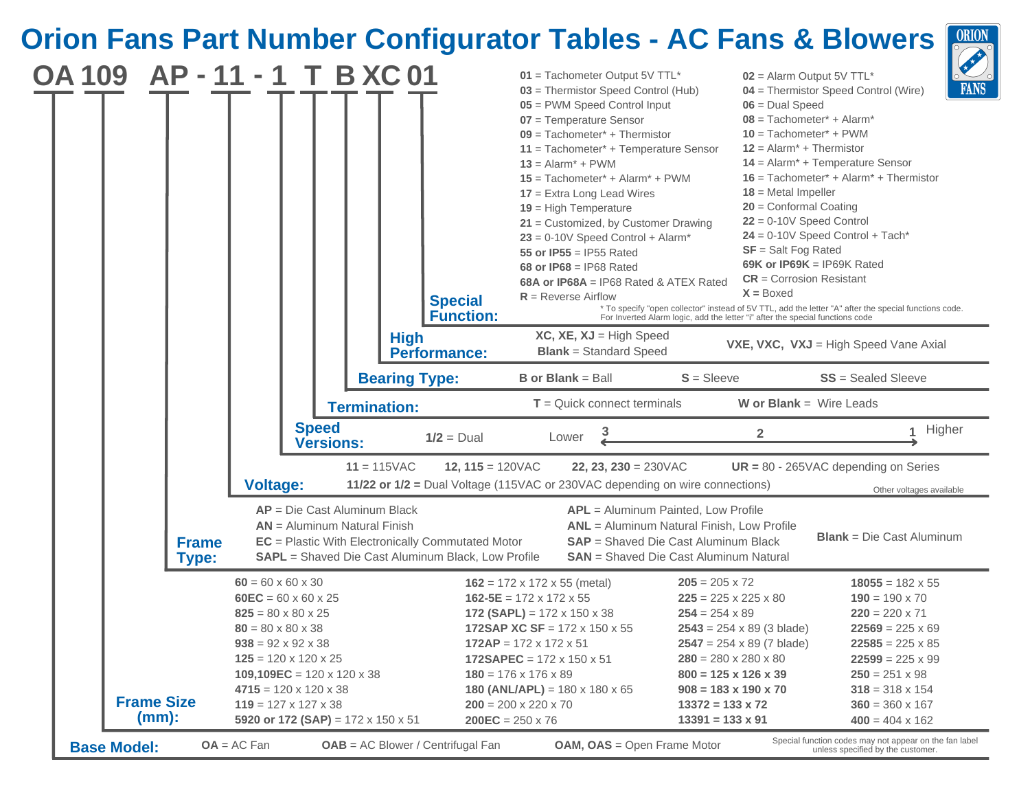## **Orion Fans Part Number Configurator Tables - AC Fans & Blowers**  $\boxed{\frac{ORION}{OR} }$

| <b>OA 109</b> |                              | AP-11-1 T B XC 01                                                | <b>Special</b><br><b>Function:</b>                                                                                    | $01$ = Tachometer Output 5V TTL*<br>03 = Thermistor Speed Control (Hub)<br>05 = PWM Speed Control Input<br>07 = Temperature Sensor<br>$09$ = Tachometer* + Thermistor<br>$11 = Tachometer* + Temperature Sensor$<br>$13 =$ Alarm <sup>*</sup> + PWM<br>$15$ = Tachometer* + Alarm* + PWM<br>$17$ = Extra Long Lead Wires<br>$19$ = High Temperature<br>$21$ = Customized, by Customer Drawing<br>$23 = 0-10V$ Speed Control + Alarm*<br>55 or IP55 = IP55 Rated<br>68 or IP68 = IP68 Rated<br>68A or IP68A = IP68 Rated & ATEX Rated<br>$R$ = Reverse Airflow | $02$ = Alarm Output 5V TTL*<br>$06 =$ Dual Speed<br>$08 = Tachometer* + Alarm*$<br>$10 = Tachometer* + PWM$<br>$12 =$ Alarm <sup>*</sup> + Thermistor<br>$18$ = Metal Impeller<br>$20$ = Conformal Coating<br>$22 = 0-10V$ Speed Control<br>$SF = Salt Fog Rate$<br>$CR =$ Corrosion Resistant<br>$X = Boxed$ | $\bigcup$<br><b>FANS</b><br>04 = Thermistor Speed Control (Wire)<br>$14$ = Alarm <sup>*</sup> + Temperature Sensor<br>$16$ = Tachometer <sup>*</sup> + Alarm <sup>*</sup> + Thermistor<br>$24 = 0-10V$ Speed Control + Tach*<br>69K or IP69K = IP69K Rated<br>* To specify "open collector" instead of 5V TTL, add the letter "A" after the special functions code.<br>For Inverted Alarm logic, add the letter "i" after the special functions code |  |
|---------------|------------------------------|------------------------------------------------------------------|-----------------------------------------------------------------------------------------------------------------------|---------------------------------------------------------------------------------------------------------------------------------------------------------------------------------------------------------------------------------------------------------------------------------------------------------------------------------------------------------------------------------------------------------------------------------------------------------------------------------------------------------------------------------------------------------------|---------------------------------------------------------------------------------------------------------------------------------------------------------------------------------------------------------------------------------------------------------------------------------------------------------------|------------------------------------------------------------------------------------------------------------------------------------------------------------------------------------------------------------------------------------------------------------------------------------------------------------------------------------------------------------------------------------------------------------------------------------------------------|--|
|               |                              |                                                                  | <b>High</b><br><b>Performance:</b><br><b>Bearing Type:</b>                                                            | $XC, XE, XJ = High Speed$<br><b>Blank</b> = Standard Speed<br><b>B</b> or <b>Blank</b> = Ball                                                                                                                                                                                                                                                                                                                                                                                                                                                                 | $S = S$ leeve                                                                                                                                                                                                                                                                                                 | VXE, VXC, VXJ = High Speed Vane Axial<br>$SS = S$ ealed Sleeve                                                                                                                                                                                                                                                                                                                                                                                       |  |
|               |                              |                                                                  | <b>Termination:</b>                                                                                                   | $T =$ Quick connect terminals                                                                                                                                                                                                                                                                                                                                                                                                                                                                                                                                 | <b>W</b> or <b>Blank</b> = Wire Leads                                                                                                                                                                                                                                                                         |                                                                                                                                                                                                                                                                                                                                                                                                                                                      |  |
|               |                              | <b>Speed</b><br><b>Versions:</b>                                 | $1/2 =$ Dual                                                                                                          | Lower                                                                                                                                                                                                                                                                                                                                                                                                                                                                                                                                                         | $\overline{2}$                                                                                                                                                                                                                                                                                                | Higher<br>$\mathbf{1}$                                                                                                                                                                                                                                                                                                                                                                                                                               |  |
|               |                              | <b>Voltage:</b>                                                  | $11 = 115$ VAC<br>12, $115 = 120 \text{VAC}$                                                                          | 22, 23, 230 = $230\sqrt{AC}$<br>11/22 or 1/2 = Dual Voltage (115VAC or 230VAC depending on wire connections)                                                                                                                                                                                                                                                                                                                                                                                                                                                  |                                                                                                                                                                                                                                                                                                               | $UR = 80 - 265VAC$ depending on Series<br>Other voltages available                                                                                                                                                                                                                                                                                                                                                                                   |  |
|               | <b>Frame</b><br><b>Type:</b> | $AP = Die Cast$ Aluminum Black<br>$AN =$ Aluminum Natural Finish | <b>EC</b> = Plastic With Electronically Commutated Motor<br><b>SAPL</b> = Shaved Die Cast Aluminum Black, Low Profile |                                                                                                                                                                                                                                                                                                                                                                                                                                                                                                                                                               | APL = Aluminum Painted, Low Profile<br><b>ANL</b> = Aluminum Natural Finish, Low Profile<br><b>SAP</b> = Shaved Die Cast Aluminum Black<br><b>SAN</b> = Shaved Die Cast Aluminum Natural                                                                                                                      | <b>Blank</b> = $Die$ Cast Aluminum                                                                                                                                                                                                                                                                                                                                                                                                                   |  |
|               |                              | $60 = 60 \times 60 \times 30$                                    |                                                                                                                       |                                                                                                                                                                                                                                                                                                                                                                                                                                                                                                                                                               | $205 = 205 \times 72$                                                                                                                                                                                                                                                                                         |                                                                                                                                                                                                                                                                                                                                                                                                                                                      |  |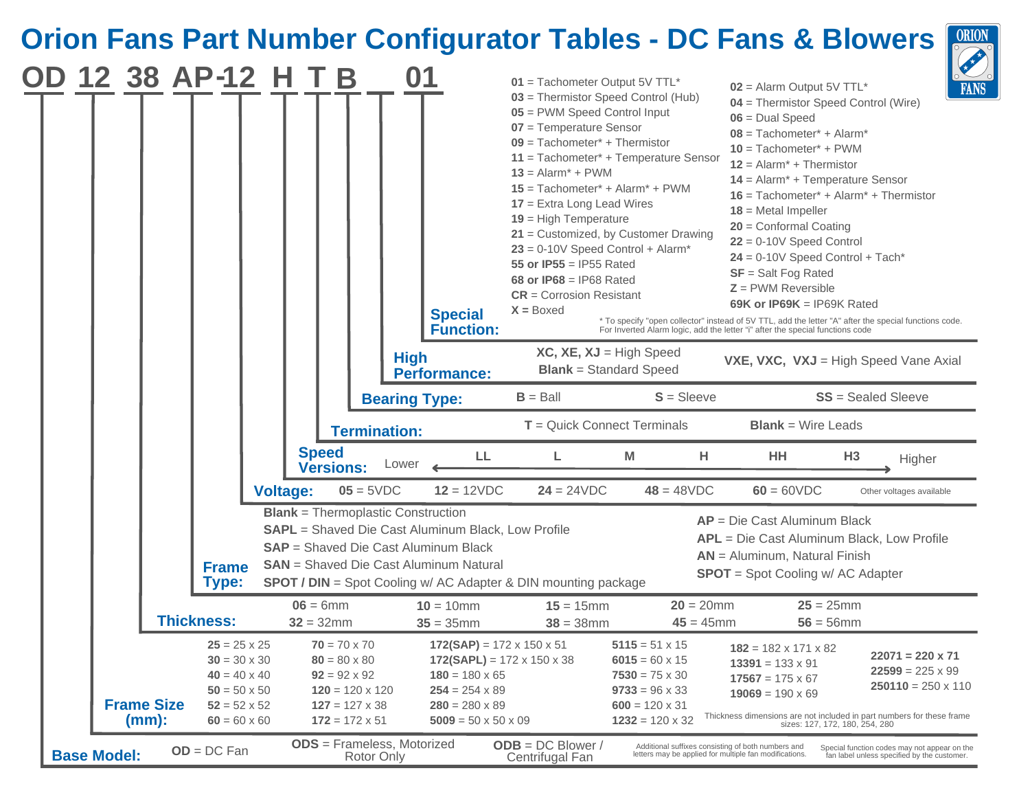## **Orion Fans Part Number Configurator Tables - DC Fans & Blowers**

|                    |                               | 12 38 AP-12                                                                                                                            | н               | B                                                                                                                                             |                     |             | <b>Special</b><br><b>Function:</b>                                                                                                                                                                     | $01$ = Tachometer Output 5V TTL*<br>05 = PWM Speed Control Input<br>07 = Temperature Sensor<br>$09$ = Tachometer* + Thermistor<br>$13 =$ Alarm <sup>*</sup> + PWM<br>$17$ = Extra Long Lead Wires<br>$19$ = High Temperature<br>55 or IP55 = IP55 Rated<br>68 or IP68 = IP68 Rated<br>$CR =$ Corrosion Resistant<br>$X = Boxed$ |              | 03 = Thermistor Speed Control (Hub)<br>$11 = Tachometer* + Temperature Sensor$<br>$15$ = Tachometer* + Alarm* + PWM<br>$21$ = Customized, by Customer Drawing<br>$23 = 0-10V$ Speed Control + Alarm* |                              | $02$ = Alarm Output 5V TTL*<br>04 = Thermistor Speed Control (Wire)<br>$06 =$ Dual Speed<br>$08 = Tachometer* + Alarm*$<br>$10 = Tachometer* + PWM$<br>$12 =$ Alarm <sup>*</sup> + Thermistor<br>$14$ = Alarm <sup>*</sup> + Temperature Sensor<br>$16$ = Tachometer* + Alarm* + Thermistor<br>$18$ = Metal Impeller<br>$20$ = Conformal Coating<br>$22 = 0-10V$ Speed Control<br>$24 = 0-10V$ Speed Control + Tach*<br>$SF = Salt Fog Rated$<br>$Z =$ PWM Reversible<br>69K or IP69K = IP69K Rated<br>* To specify "open collector" instead of 5V TTL, add the letter "A" after the special functions code.<br>For Inverted Alarm logic, add the letter "i" after the special functions code |                | $\epsilon$<br><b>FAN</b>                                                                    |
|--------------------|-------------------------------|----------------------------------------------------------------------------------------------------------------------------------------|-----------------|-----------------------------------------------------------------------------------------------------------------------------------------------|---------------------|-------------|--------------------------------------------------------------------------------------------------------------------------------------------------------------------------------------------------------|---------------------------------------------------------------------------------------------------------------------------------------------------------------------------------------------------------------------------------------------------------------------------------------------------------------------------------|--------------|------------------------------------------------------------------------------------------------------------------------------------------------------------------------------------------------------|------------------------------|-----------------------------------------------------------------------------------------------------------------------------------------------------------------------------------------------------------------------------------------------------------------------------------------------------------------------------------------------------------------------------------------------------------------------------------------------------------------------------------------------------------------------------------------------------------------------------------------------------------------------------------------------------------------------------------------------|----------------|---------------------------------------------------------------------------------------------|
|                    |                               |                                                                                                                                        |                 |                                                                                                                                               |                     | <b>High</b> | <b>Performance:</b>                                                                                                                                                                                    |                                                                                                                                                                                                                                                                                                                                 |              | $XC, XE, XJ = High Speed$<br><b>Blank</b> = Standard Speed                                                                                                                                           |                              | VXE, VXC, VXJ = High Speed Vane Axial                                                                                                                                                                                                                                                                                                                                                                                                                                                                                                                                                                                                                                                         |                |                                                                                             |
|                    |                               |                                                                                                                                        |                 |                                                                                                                                               |                     |             | <b>Bearing Type:</b>                                                                                                                                                                                   | $B =$ Ball                                                                                                                                                                                                                                                                                                                      |              | $S = S$ leeve                                                                                                                                                                                        |                              |                                                                                                                                                                                                                                                                                                                                                                                                                                                                                                                                                                                                                                                                                               |                | <b>SS</b> = Sealed Sleeve                                                                   |
|                    |                               |                                                                                                                                        |                 |                                                                                                                                               | <b>Termination:</b> |             |                                                                                                                                                                                                        |                                                                                                                                                                                                                                                                                                                                 |              | $T =$ Quick Connect Terminals                                                                                                                                                                        |                              | <b>Blank</b> = Wire Leads                                                                                                                                                                                                                                                                                                                                                                                                                                                                                                                                                                                                                                                                     |                |                                                                                             |
|                    |                               |                                                                                                                                        |                 | <b>Speed</b><br><b>Versions:</b>                                                                                                              |                     | Lower       | LL.                                                                                                                                                                                                    | L.                                                                                                                                                                                                                                                                                                                              |              | м                                                                                                                                                                                                    | н.                           | HH                                                                                                                                                                                                                                                                                                                                                                                                                                                                                                                                                                                                                                                                                            | H <sub>3</sub> | Higher                                                                                      |
|                    |                               |                                                                                                                                        | <b>Voltage:</b> |                                                                                                                                               | $05 = 5VDC$         |             | $12 = 12VDC$                                                                                                                                                                                           | $24 = 24VDC$                                                                                                                                                                                                                                                                                                                    |              | $48 = 48VDC$                                                                                                                                                                                         |                              | $60 = 60VDC$                                                                                                                                                                                                                                                                                                                                                                                                                                                                                                                                                                                                                                                                                  |                | Other voltages available                                                                    |
|                    |                               | <b>Frame</b><br><b>Type:</b>                                                                                                           |                 |                                                                                                                                               |                     |             | <b>Blank</b> = Thermoplastic Construction<br><b>SAPL</b> = Shaved Die Cast Aluminum Black, Low Profile<br><b>SAP</b> = Shaved Die Cast Aluminum Black<br><b>SAN</b> = Shaved Die Cast Aluminum Natural | <b>SPOT / DIN</b> = Spot Cooling w/ AC Adapter & DIN mounting package                                                                                                                                                                                                                                                           |              |                                                                                                                                                                                                      |                              | $AP = Die Cast$ Aluminum Black<br>APL = Die Cast Aluminum Black, Low Profile<br>$AN =$ Aluminum, Natural Finish<br><b>SPOT</b> = Spot Cooling w/ AC Adapter                                                                                                                                                                                                                                                                                                                                                                                                                                                                                                                                   |                |                                                                                             |
|                    |                               | <b>Thickness:</b>                                                                                                                      |                 | $06 = 6$ mm<br>$32 = 32$ mm                                                                                                                   |                     |             | $10 = 10$ mm<br>$35 = 35$ mm                                                                                                                                                                           | $15 = 15$ mm                                                                                                                                                                                                                                                                                                                    | $38 = 38$ mm |                                                                                                                                                                                                      | $20 = 20$ mm<br>$45 = 45$ mm | $25 = 25$ mm<br>$56 = 56$ mm                                                                                                                                                                                                                                                                                                                                                                                                                                                                                                                                                                                                                                                                  |                |                                                                                             |
|                    | <b>Frame Size</b><br>$(mm)$ : | $25 = 25 \times 25$<br>$30 = 30 \times 30$<br>$40 = 40 \times 40$<br>$50 = 50 \times 50$<br>$52 = 52 \times 52$<br>$60 = 60 \times 60$ |                 | $70 = 70 \times 70$<br>$80 = 80 \times 80$<br>$92 = 92 \times 92$<br>$120 = 120 \times 120$<br>$127 = 127 \times 38$<br>$172 = 172 \times 51$ |                     |             | $172(SAP) = 172 \times 150 \times 51$<br>$180 = 180 \times 65$<br>$254 = 254 \times 89$<br>$280 = 280 \times 89$<br>$5009 = 50 \times 50 \times 09$                                                    | 172(SAPL) = $172 \times 150 \times 38$                                                                                                                                                                                                                                                                                          |              | $5115 = 51 \times 15$<br>$6015 = 60 \times 15$<br>$7530 = 75 \times 30$<br>$9733 = 96 \times 33$<br>$600 = 120 \times 31$<br>$1232 = 120 \times 32$                                                  |                              | $182 = 182 \times 171 \times 82$<br>$13391 = 133 \times 91$<br>$17567 = 175 \times 67$<br>$19069 = 190 \times 69$<br>Thickness dimensions are not included in part numbers for these frame<br>sizes: 127, 172, 180, 254, 280                                                                                                                                                                                                                                                                                                                                                                                                                                                                  |                | $22071 = 220 \times 71$<br>$22599 = 225 \times 99$<br>$250110 = 250 \times 110$             |
| <b>Base Model:</b> |                               | $OD = DC Fan$                                                                                                                          |                 | <b>ODS</b> = Frameless, Motorized                                                                                                             | Rotor Only          |             |                                                                                                                                                                                                        | $ODE = DC Block /$<br>Centrifugal Fan                                                                                                                                                                                                                                                                                           |              |                                                                                                                                                                                                      |                              | Additional suffixes consisting of both numbers and<br>letters may be applied for multiple fan modifications.                                                                                                                                                                                                                                                                                                                                                                                                                                                                                                                                                                                  |                | Special function codes may not appear on the<br>fan label unless specified by the customer. |